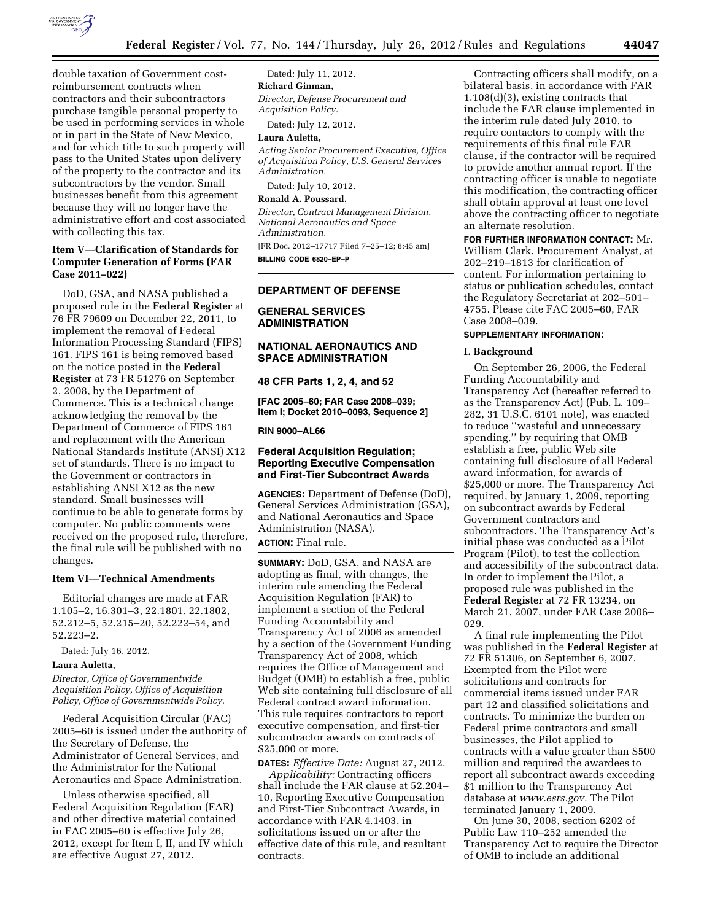

double taxation of Government costreimbursement contracts when contractors and their subcontractors purchase tangible personal property to be used in performing services in whole or in part in the State of New Mexico, and for which title to such property will pass to the United States upon delivery of the property to the contractor and its subcontractors by the vendor. Small businesses benefit from this agreement because they will no longer have the administrative effort and cost associated with collecting this tax.

### **Item V—Clarification of Standards for Computer Generation of Forms (FAR Case 2011–022)**

DoD, GSA, and NASA published a proposed rule in the **Federal Register** at 76 FR 79609 on December 22, 2011, to implement the removal of Federal Information Processing Standard (FIPS) 161. FIPS 161 is being removed based on the notice posted in the **Federal Register** at 73 FR 51276 on September 2, 2008, by the Department of Commerce. This is a technical change acknowledging the removal by the Department of Commerce of FIPS 161 and replacement with the American National Standards Institute (ANSI) X12 set of standards. There is no impact to the Government or contractors in establishing ANSI X12 as the new standard. Small businesses will continue to be able to generate forms by computer. No public comments were received on the proposed rule, therefore, the final rule will be published with no changes.

### **Item VI—Technical Amendments**

Editorial changes are made at FAR 1.105–2, 16.301–3, 22.1801, 22.1802, 52.212–5, 52.215–20, 52.222–54, and 52.223–2.

Dated: July 16, 2012.

### **Laura Auletta,**

*Director, Office of Governmentwide Acquisition Policy, Office of Acquisition Policy, Office of Governmentwide Policy.* 

Federal Acquisition Circular (FAC) 2005–60 is issued under the authority of the Secretary of Defense, the Administrator of General Services, and the Administrator for the National Aeronautics and Space Administration.

Unless otherwise specified, all Federal Acquisition Regulation (FAR) and other directive material contained in FAC 2005–60 is effective July 26, 2012, except for Item I, II, and IV which are effective August 27, 2012.

Dated: July 11, 2012. **Richard Ginman,**  *Director, Defense Procurement and Acquisition Policy.* 

Dated: July 12, 2012.

### **Laura Auletta,**

*Acting Senior Procurement Executive, Office of Acquisition Policy, U.S. General Services Administration.* 

Dated: July 10, 2012.

### **Ronald A. Poussard,**

*Director, Contract Management Division, National Aeronautics and Space Administration.*  [FR Doc. 2012–17717 Filed 7–25–12; 8:45 am]

**BILLING CODE 6820–EP–P** 

#### **DEPARTMENT OF DEFENSE**

## **GENERAL SERVICES ADMINISTRATION**

## **NATIONAL AERONAUTICS AND SPACE ADMINISTRATION**

**48 CFR Parts 1, 2, 4, and 52** 

**[FAC 2005–60; FAR Case 2008–039; Item I; Docket 2010–0093, Sequence 2]** 

**RIN 9000–AL66** 

## **Federal Acquisition Regulation; Reporting Executive Compensation and First-Tier Subcontract Awards**

**AGENCIES:** Department of Defense (DoD), General Services Administration (GSA), and National Aeronautics and Space Administration (NASA). **ACTION:** Final rule.

**SUMMARY:** DoD, GSA, and NASA are adopting as final, with changes, the interim rule amending the Federal Acquisition Regulation (FAR) to implement a section of the Federal Funding Accountability and Transparency Act of 2006 as amended by a section of the Government Funding Transparency Act of 2008, which requires the Office of Management and Budget (OMB) to establish a free, public Web site containing full disclosure of all Federal contract award information. This rule requires contractors to report executive compensation, and first-tier subcontractor awards on contracts of \$25,000 or more.

**DATES:** *Effective Date:* August 27, 2012.

*Applicability:* Contracting officers shall include the FAR clause at 52.204– 10, Reporting Executive Compensation and First-Tier Subcontract Awards, in accordance with FAR 4.1403, in solicitations issued on or after the effective date of this rule, and resultant contracts.

Contracting officers shall modify, on a bilateral basis, in accordance with FAR 1.108(d)(3), existing contracts that include the FAR clause implemented in the interim rule dated July 2010, to require contactors to comply with the requirements of this final rule FAR clause, if the contractor will be required to provide another annual report. If the contracting officer is unable to negotiate this modification, the contracting officer shall obtain approval at least one level above the contracting officer to negotiate an alternate resolution.

**FOR FURTHER INFORMATION CONTACT:** Mr. William Clark, Procurement Analyst, at 202–219–1813 for clarification of content. For information pertaining to status or publication schedules, contact the Regulatory Secretariat at 202–501– 4755. Please cite FAC 2005–60, FAR Case 2008–039.

#### **SUPPLEMENTARY INFORMATION:**

#### **I. Background**

On September 26, 2006, the Federal Funding Accountability and Transparency Act (hereafter referred to as the Transparency Act) (Pub. L. 109– 282, 31 U.S.C. 6101 note), was enacted to reduce ''wasteful and unnecessary spending,'' by requiring that OMB establish a free, public Web site containing full disclosure of all Federal award information, for awards of \$25,000 or more. The Transparency Act required, by January 1, 2009, reporting on subcontract awards by Federal Government contractors and subcontractors. The Transparency Act's initial phase was conducted as a Pilot Program (Pilot), to test the collection and accessibility of the subcontract data. In order to implement the Pilot, a proposed rule was published in the **Federal Register** at 72 FR 13234, on March 21, 2007, under FAR Case 2006– 029.

A final rule implementing the Pilot was published in the **Federal Register** at 72 FR 51306, on September 6, 2007. Exempted from the Pilot were solicitations and contracts for commercial items issued under FAR part 12 and classified solicitations and contracts. To minimize the burden on Federal prime contractors and small businesses, the Pilot applied to contracts with a value greater than \$500 million and required the awardees to report all subcontract awards exceeding \$1 million to the Transparency Act database at *[www.esrs.gov.](http://www.esrs.gov)* The Pilot terminated January 1, 2009.

On June 30, 2008, section 6202 of Public Law 110–252 amended the Transparency Act to require the Director of OMB to include an additional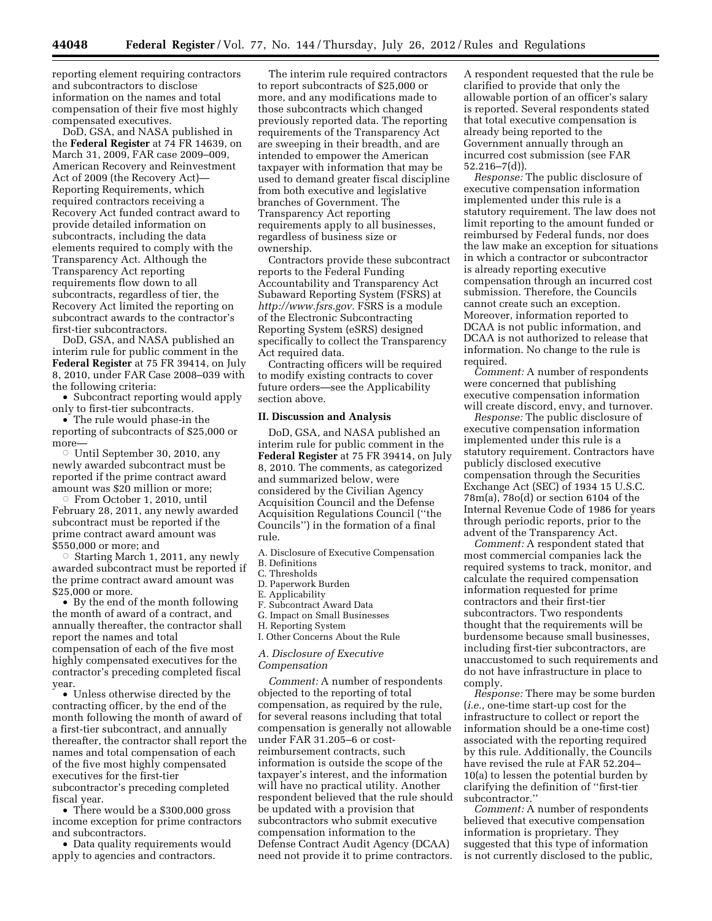reporting element requiring contractors and subcontractors to disclose information on the names and total compensation of their five most highly compensated executives.

DoD, GSA, and NASA published in the **Federal Register** at 74 FR 14639, on March 31, 2009, FAR case 2009–009, American Recovery and Reinvestment Act of 2009 (the Recovery Act)— Reporting Requirements, which required contractors receiving a Recovery Act funded contract award to provide detailed information on subcontracts, including the data elements required to comply with the Transparency Act. Although the Transparency Act reporting requirements flow down to all subcontracts, regardless of tier, the Recovery Act limited the reporting on subcontract awards to the contractor's first-tier subcontractors.

DoD, GSA, and NASA published an interim rule for public comment in the **Federal Register** at 75 FR 39414, on July 8, 2010, under FAR Case 2008–039 with the following criteria:

• Subcontract reporting would apply only to first-tier subcontracts.

• The rule would phase-in the reporting of subcontracts of \$25,000 or more—

 $\circ$  Until September 30, 2010, any newly awarded subcontract must be reported if the prime contract award amount was \$20 million or more;

Æ From October 1, 2010, until February 28, 2011, any newly awarded subcontract must be reported if the prime contract award amount was \$550,000 or more; and

 $\circ$  Starting March 1, 2011, any newly awarded subcontract must be reported if the prime contract award amount was \$25,000 or more.

• By the end of the month following the month of award of a contract, and annually thereafter, the contractor shall report the names and total compensation of each of the five most highly compensated executives for the contractor's preceding completed fiscal year.

• Unless otherwise directed by the contracting officer, by the end of the month following the month of award of a first-tier subcontract, and annually thereafter, the contractor shall report the names and total compensation of each of the five most highly compensated executives for the first-tier subcontractor's preceding completed fiscal year.

• There would be a \$300,000 gross income exception for prime contractors and subcontractors.

• Data quality requirements would apply to agencies and contractors.

The interim rule required contractors to report subcontracts of \$25,000 or more, and any modifications made to those subcontracts which changed previously reported data. The reporting requirements of the Transparency Act are sweeping in their breadth, and are intended to empower the American taxpayer with information that may be used to demand greater fiscal discipline from both executive and legislative branches of Government. The Transparency Act reporting requirements apply to all businesses, regardless of business size or ownership.

Contractors provide these subcontract reports to the Federal Funding Accountability and Transparency Act Subaward Reporting System (FSRS) at *[http://www.fsrs.gov.](http://www.fsrs.gov)* FSRS is a module of the Electronic Subcontracting Reporting System (eSRS) designed specifically to collect the Transparency Act required data.

Contracting officers will be required to modify existing contracts to cover future orders—see the Applicability section above.

#### **II. Discussion and Analysis**

DoD, GSA, and NASA published an interim rule for public comment in the **Federal Register** at 75 FR 39414, on July 8, 2010. The comments, as categorized and summarized below, were considered by the Civilian Agency Acquisition Council and the Defense Acquisition Regulations Council (''the Councils'') in the formation of a final rule.

A. Disclosure of Executive Compensation

- B. Definitions
- C. Thresholds
- D. Paperwork Burden
- E. Applicability F. Subcontract Award Data
- G. Impact on Small Businesses
- H. Reporting System
- I. Other Concerns About the Rule

*A. Disclosure of Executive Compensation* 

*Comment:* A number of respondents objected to the reporting of total compensation, as required by the rule, for several reasons including that total compensation is generally not allowable under FAR 31.205–6 or costreimbursement contracts, such information is outside the scope of the taxpayer's interest, and the information will have no practical utility. Another respondent believed that the rule should be updated with a provision that subcontractors who submit executive compensation information to the Defense Contract Audit Agency (DCAA) need not provide it to prime contractors.

A respondent requested that the rule be clarified to provide that only the allowable portion of an officer's salary is reported. Several respondents stated that total executive compensation is already being reported to the Government annually through an incurred cost submission (see FAR 52.216–7(d)).

*Response:* The public disclosure of executive compensation information implemented under this rule is a statutory requirement. The law does not limit reporting to the amount funded or reimbursed by Federal funds, nor does the law make an exception for situations in which a contractor or subcontractor is already reporting executive compensation through an incurred cost submission. Therefore, the Councils cannot create such an exception. Moreover, information reported to DCAA is not public information, and DCAA is not authorized to release that information. No change to the rule is required.

*Comment:* A number of respondents were concerned that publishing executive compensation information will create discord, envy, and turnover.

*Response:* The public disclosure of executive compensation information implemented under this rule is a statutory requirement. Contractors have publicly disclosed executive compensation through the Securities Exchange Act (SEC) of 1934 15 U.S.C. 78m(a), 78o(d) or section 6104 of the Internal Revenue Code of 1986 for years through periodic reports, prior to the advent of the Transparency Act.

*Comment:* A respondent stated that most commercial companies lack the required systems to track, monitor, and calculate the required compensation information requested for prime contractors and their first-tier subcontractors. Two respondents thought that the requirements will be burdensome because small businesses, including first-tier subcontractors, are unaccustomed to such requirements and do not have infrastructure in place to comply.

*Response:* There may be some burden (*i.e.,* one-time start-up cost for the infrastructure to collect or report the information should be a one-time cost) associated with the reporting required by this rule. Additionally, the Councils have revised the rule at FAR 52.204– 10(a) to lessen the potential burden by clarifying the definition of ''first-tier subcontractor.''

*Comment:* A number of respondents believed that executive compensation information is proprietary. They suggested that this type of information is not currently disclosed to the public,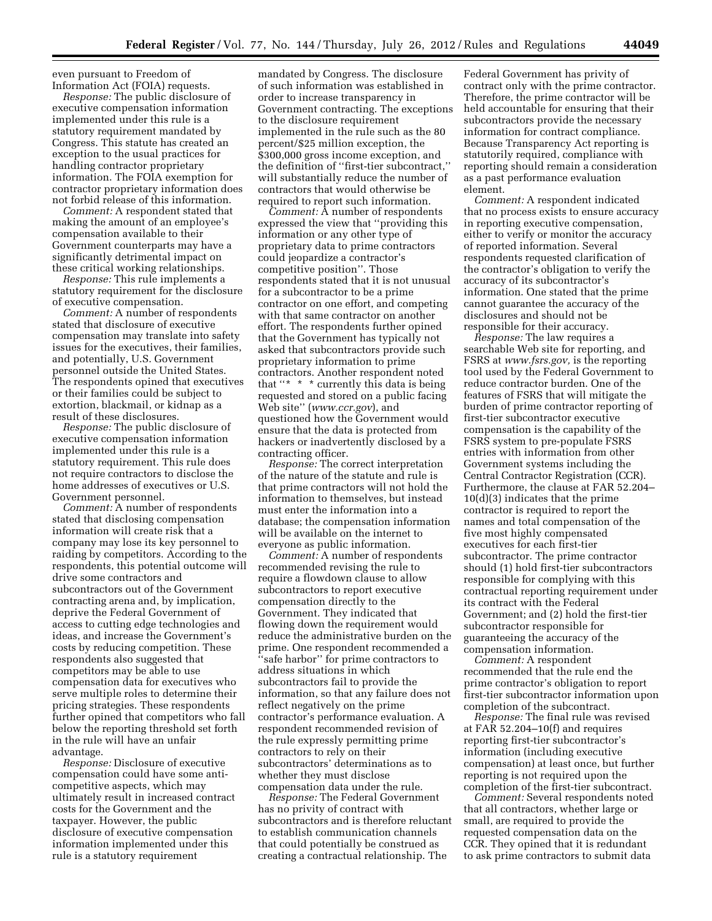even pursuant to Freedom of Information Act (FOIA) requests.

*Response:* The public disclosure of executive compensation information implemented under this rule is a statutory requirement mandated by Congress. This statute has created an exception to the usual practices for handling contractor proprietary information. The FOIA exemption for contractor proprietary information does not forbid release of this information.

*Comment:* A respondent stated that making the amount of an employee's compensation available to their Government counterparts may have a significantly detrimental impact on these critical working relationships.

*Response:* This rule implements a statutory requirement for the disclosure of executive compensation.

*Comment:* A number of respondents stated that disclosure of executive compensation may translate into safety issues for the executives, their families, and potentially, U.S. Government personnel outside the United States. The respondents opined that executives or their families could be subject to extortion, blackmail, or kidnap as a result of these disclosures.

*Response:* The public disclosure of executive compensation information implemented under this rule is a statutory requirement. This rule does not require contractors to disclose the home addresses of executives or U.S. Government personnel.

*Comment:* A number of respondents stated that disclosing compensation information will create risk that a company may lose its key personnel to raiding by competitors. According to the respondents, this potential outcome will drive some contractors and subcontractors out of the Government contracting arena and, by implication, deprive the Federal Government of access to cutting edge technologies and ideas, and increase the Government's costs by reducing competition. These respondents also suggested that competitors may be able to use compensation data for executives who serve multiple roles to determine their pricing strategies. These respondents further opined that competitors who fall below the reporting threshold set forth in the rule will have an unfair advantage.

*Response:* Disclosure of executive compensation could have some anticompetitive aspects, which may ultimately result in increased contract costs for the Government and the taxpayer. However, the public disclosure of executive compensation information implemented under this rule is a statutory requirement

mandated by Congress. The disclosure of such information was established in order to increase transparency in Government contracting. The exceptions to the disclosure requirement implemented in the rule such as the 80 percent/\$25 million exception, the \$300,000 gross income exception, and the definition of ''first-tier subcontract,'' will substantially reduce the number of contractors that would otherwise be required to report such information.

*Comment:* A number of respondents expressed the view that ''providing this information or any other type of proprietary data to prime contractors could jeopardize a contractor's competitive position''. Those respondents stated that it is not unusual for a subcontractor to be a prime contractor on one effort, and competing with that same contractor on another effort. The respondents further opined that the Government has typically not asked that subcontractors provide such proprietary information to prime contractors. Another respondent noted that ''\*  $\hspace{0.1mm}$  \*  $\hspace{0.1mm}$  \* currently this data is being requested and stored on a public facing Web site'' (*[www.ccr.gov](http://www.ccr.gov)*), and questioned how the Government would ensure that the data is protected from hackers or inadvertently disclosed by a contracting officer.

*Response:* The correct interpretation of the nature of the statute and rule is that prime contractors will not hold the information to themselves, but instead must enter the information into a database; the compensation information will be available on the internet to everyone as public information.

*Comment:* A number of respondents recommended revising the rule to require a flowdown clause to allow subcontractors to report executive compensation directly to the Government. They indicated that flowing down the requirement would reduce the administrative burden on the prime. One respondent recommended a ''safe harbor'' for prime contractors to address situations in which subcontractors fail to provide the information, so that any failure does not reflect negatively on the prime contractor's performance evaluation. A respondent recommended revision of the rule expressly permitting prime contractors to rely on their subcontractors' determinations as to whether they must disclose compensation data under the rule.

*Response:* The Federal Government has no privity of contract with subcontractors and is therefore reluctant to establish communication channels that could potentially be construed as creating a contractual relationship. The

Federal Government has privity of contract only with the prime contractor. Therefore, the prime contractor will be held accountable for ensuring that their subcontractors provide the necessary information for contract compliance. Because Transparency Act reporting is statutorily required, compliance with reporting should remain a consideration as a past performance evaluation element.

*Comment:* A respondent indicated that no process exists to ensure accuracy in reporting executive compensation, either to verify or monitor the accuracy of reported information. Several respondents requested clarification of the contractor's obligation to verify the accuracy of its subcontractor's information. One stated that the prime cannot guarantee the accuracy of the disclosures and should not be responsible for their accuracy.

*Response:* The law requires a searchable Web site for reporting, and FSRS at *[www.fsrs.gov,](http://www.fsrs.gov)* is the reporting tool used by the Federal Government to reduce contractor burden. One of the features of FSRS that will mitigate the burden of prime contractor reporting of first-tier subcontractor executive compensation is the capability of the FSRS system to pre-populate FSRS entries with information from other Government systems including the Central Contractor Registration (CCR). Furthermore, the clause at FAR 52.204– 10(d)(3) indicates that the prime contractor is required to report the names and total compensation of the five most highly compensated executives for each first-tier subcontractor. The prime contractor should (1) hold first-tier subcontractors responsible for complying with this contractual reporting requirement under its contract with the Federal Government; and (2) hold the first-tier subcontractor responsible for guaranteeing the accuracy of the compensation information.

*Comment:* A respondent recommended that the rule end the prime contractor's obligation to report first-tier subcontractor information upon completion of the subcontract.

*Response:* The final rule was revised at FAR 52.204–10(f) and requires reporting first-tier subcontractor's information (including executive compensation) at least once, but further reporting is not required upon the completion of the first-tier subcontract.

*Comment:* Several respondents noted that all contractors, whether large or small, are required to provide the requested compensation data on the CCR. They opined that it is redundant to ask prime contractors to submit data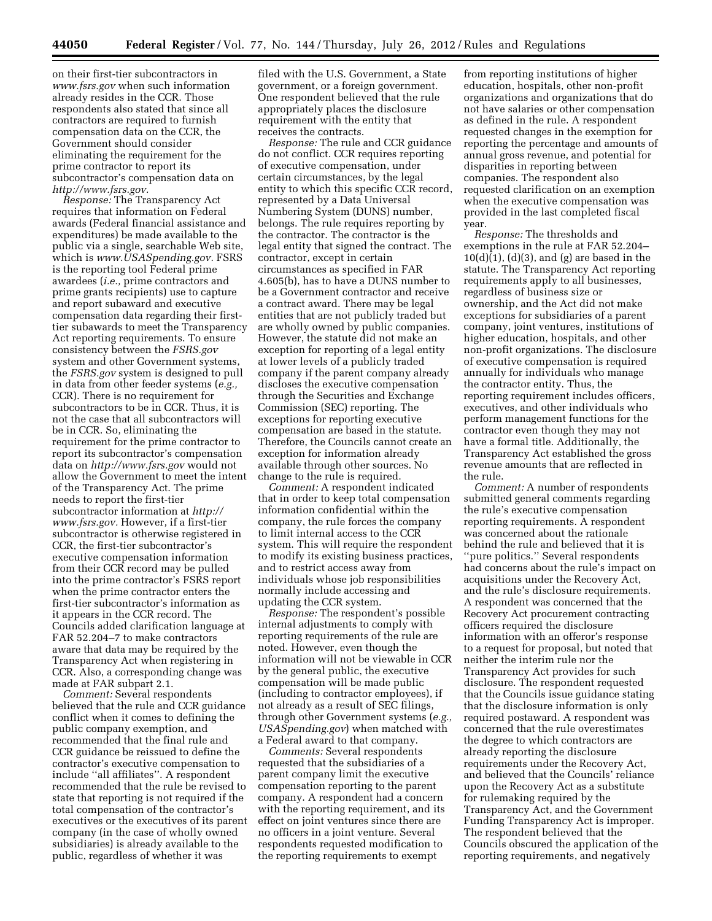on their first-tier subcontractors in *[www.fsrs.gov](http://www.fsrs.gov)* when such information already resides in the CCR. Those respondents also stated that since all contractors are required to furnish compensation data on the CCR, the Government should consider eliminating the requirement for the prime contractor to report its subcontractor's compensation data on *[http://www.fsrs.gov.](http://www.fsrs.gov)* 

*Response:* The Transparency Act requires that information on Federal awards (Federal financial assistance and expenditures) be made available to the public via a single, searchable Web site, which is *[www.USASpending.gov.](http://www.USASpending.gov)* FSRS is the reporting tool Federal prime awardees (*i.e.,* prime contractors and prime grants recipients) use to capture and report subaward and executive compensation data regarding their firsttier subawards to meet the Transparency Act reporting requirements. To ensure consistency between the *FSRS.gov*  system and other Government systems, the *FSRS.gov* system is designed to pull in data from other feeder systems (*e.g.,*  CCR). There is no requirement for subcontractors to be in CCR. Thus, it is not the case that all subcontractors will be in CCR. So, eliminating the requirement for the prime contractor to report its subcontractor's compensation data on *<http://www.fsrs.gov>*would not allow the Government to meet the intent of the Transparency Act. The prime needs to report the first-tier subcontractor information at *[http://](http://www.fsrs.gov)  [www.fsrs.gov.](http://www.fsrs.gov)* However, if a first-tier subcontractor is otherwise registered in CCR, the first-tier subcontractor's executive compensation information from their CCR record may be pulled into the prime contractor's FSRS report when the prime contractor enters the first-tier subcontractor's information as it appears in the CCR record. The Councils added clarification language at FAR 52.204–7 to make contractors aware that data may be required by the Transparency Act when registering in CCR. Also, a corresponding change was made at FAR subpart 2.1.

*Comment:* Several respondents believed that the rule and CCR guidance conflict when it comes to defining the public company exemption, and recommended that the final rule and CCR guidance be reissued to define the contractor's executive compensation to include ''all affiliates''. A respondent recommended that the rule be revised to state that reporting is not required if the total compensation of the contractor's executives or the executives of its parent company (in the case of wholly owned subsidiaries) is already available to the public, regardless of whether it was

filed with the U.S. Government, a State government, or a foreign government. One respondent believed that the rule appropriately places the disclosure requirement with the entity that receives the contracts.

*Response:* The rule and CCR guidance do not conflict. CCR requires reporting of executive compensation, under certain circumstances, by the legal entity to which this specific CCR record, represented by a Data Universal Numbering System (DUNS) number, belongs. The rule requires reporting by the contractor. The contractor is the legal entity that signed the contract. The contractor, except in certain circumstances as specified in FAR 4.605(b), has to have a DUNS number to be a Government contractor and receive a contract award. There may be legal entities that are not publicly traded but are wholly owned by public companies. However, the statute did not make an exception for reporting of a legal entity at lower levels of a publicly traded company if the parent company already discloses the executive compensation through the Securities and Exchange Commission (SEC) reporting. The exceptions for reporting executive compensation are based in the statute. Therefore, the Councils cannot create an exception for information already available through other sources. No change to the rule is required.

*Comment:* A respondent indicated that in order to keep total compensation information confidential within the company, the rule forces the company to limit internal access to the CCR system. This will require the respondent to modify its existing business practices, and to restrict access away from individuals whose job responsibilities normally include accessing and updating the CCR system.

*Response:* The respondent's possible internal adjustments to comply with reporting requirements of the rule are noted. However, even though the information will not be viewable in CCR by the general public, the executive compensation will be made public (including to contractor employees), if not already as a result of SEC filings, through other Government systems (*e.g., USASpending.gov*) when matched with a Federal award to that company.

*Comments:* Several respondents requested that the subsidiaries of a parent company limit the executive compensation reporting to the parent company. A respondent had a concern with the reporting requirement, and its effect on joint ventures since there are no officers in a joint venture. Several respondents requested modification to the reporting requirements to exempt

from reporting institutions of higher education, hospitals, other non-profit organizations and organizations that do not have salaries or other compensation as defined in the rule. A respondent requested changes in the exemption for reporting the percentage and amounts of annual gross revenue, and potential for disparities in reporting between companies. The respondent also requested clarification on an exemption when the executive compensation was provided in the last completed fiscal year.

*Response:* The thresholds and exemptions in the rule at FAR 52.204–  $10(d)(1)$ ,  $(d)(3)$ , and  $(g)$  are based in the statute. The Transparency Act reporting requirements apply to all businesses, regardless of business size or ownership, and the Act did not make exceptions for subsidiaries of a parent company, joint ventures, institutions of higher education, hospitals, and other non-profit organizations. The disclosure of executive compensation is required annually for individuals who manage the contractor entity. Thus, the reporting requirement includes officers, executives, and other individuals who perform management functions for the contractor even though they may not have a formal title. Additionally, the Transparency Act established the gross revenue amounts that are reflected in the rule.

*Comment:* A number of respondents submitted general comments regarding the rule's executive compensation reporting requirements. A respondent was concerned about the rationale behind the rule and believed that it is ''pure politics.'' Several respondents had concerns about the rule's impact on acquisitions under the Recovery Act, and the rule's disclosure requirements. A respondent was concerned that the Recovery Act procurement contracting officers required the disclosure information with an offeror's response to a request for proposal, but noted that neither the interim rule nor the Transparency Act provides for such disclosure. The respondent requested that the Councils issue guidance stating that the disclosure information is only required postaward. A respondent was concerned that the rule overestimates the degree to which contractors are already reporting the disclosure requirements under the Recovery Act, and believed that the Councils' reliance upon the Recovery Act as a substitute for rulemaking required by the Transparency Act, and the Government Funding Transparency Act is improper. The respondent believed that the Councils obscured the application of the reporting requirements, and negatively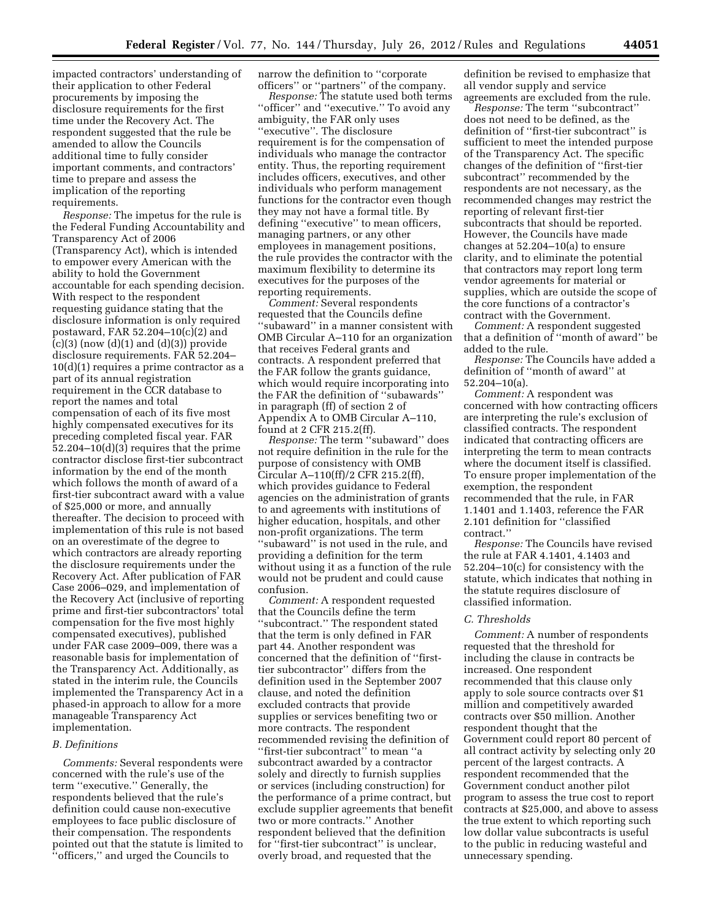impacted contractors' understanding of their application to other Federal procurements by imposing the disclosure requirements for the first time under the Recovery Act. The respondent suggested that the rule be amended to allow the Councils additional time to fully consider important comments, and contractors' time to prepare and assess the implication of the reporting requirements.

*Response:* The impetus for the rule is the Federal Funding Accountability and Transparency Act of 2006 (Transparency Act), which is intended to empower every American with the ability to hold the Government accountable for each spending decision. With respect to the respondent requesting guidance stating that the disclosure information is only required postaward, FAR 52.204–10(c)(2) and  $(c)(3)$  (now  $(d)(1)$  and  $(d)(3)$ ) provide disclosure requirements. FAR 52.204– 10(d)(1) requires a prime contractor as a part of its annual registration requirement in the CCR database to report the names and total compensation of each of its five most highly compensated executives for its preceding completed fiscal year. FAR 52.204–10(d)(3) requires that the prime contractor disclose first-tier subcontract information by the end of the month which follows the month of award of a first-tier subcontract award with a value of \$25,000 or more, and annually thereafter. The decision to proceed with implementation of this rule is not based on an overestimate of the degree to which contractors are already reporting the disclosure requirements under the Recovery Act. After publication of FAR Case 2006–029, and implementation of the Recovery Act (inclusive of reporting prime and first-tier subcontractors' total compensation for the five most highly compensated executives), published under FAR case 2009–009, there was a reasonable basis for implementation of the Transparency Act. Additionally, as stated in the interim rule, the Councils implemented the Transparency Act in a phased-in approach to allow for a more manageable Transparency Act implementation.

#### *B. Definitions*

*Comments:* Several respondents were concerned with the rule's use of the term ''executive.'' Generally, the respondents believed that the rule's definition could cause non-executive employees to face public disclosure of their compensation. The respondents pointed out that the statute is limited to ''officers,'' and urged the Councils to

narrow the definition to ''corporate officers'' or ''partners'' of the company.

*Response:* The statute used both terms "officer" and "executive." To avoid any ambiguity, the FAR only uses ''executive''. The disclosure requirement is for the compensation of individuals who manage the contractor entity. Thus, the reporting requirement includes officers, executives, and other individuals who perform management functions for the contractor even though they may not have a formal title. By defining ''executive'' to mean officers, managing partners, or any other employees in management positions, the rule provides the contractor with the maximum flexibility to determine its executives for the purposes of the reporting requirements.

*Comment:* Several respondents requested that the Councils define ''subaward'' in a manner consistent with OMB Circular A–110 for an organization that receives Federal grants and contracts. A respondent preferred that the FAR follow the grants guidance, which would require incorporating into the FAR the definition of ''subawards'' in paragraph (ff) of section 2 of Appendix A to OMB Circular A–110, found at 2 CFR 215.2(ff).

*Response:* The term ''subaward'' does not require definition in the rule for the purpose of consistency with OMB Circular A–110(ff)/2 CFR 215.2(ff), which provides guidance to Federal agencies on the administration of grants to and agreements with institutions of higher education, hospitals, and other non-profit organizations. The term ''subaward'' is not used in the rule, and providing a definition for the term without using it as a function of the rule would not be prudent and could cause confusion.

*Comment:* A respondent requested that the Councils define the term ''subcontract.'' The respondent stated that the term is only defined in FAR part 44. Another respondent was concerned that the definition of ''firsttier subcontractor'' differs from the definition used in the September 2007 clause, and noted the definition excluded contracts that provide supplies or services benefiting two or more contracts. The respondent recommended revising the definition of ''first-tier subcontract'' to mean ''a subcontract awarded by a contractor solely and directly to furnish supplies or services (including construction) for the performance of a prime contract, but exclude supplier agreements that benefit two or more contracts.'' Another respondent believed that the definition for "first-tier subcontract" is unclear, overly broad, and requested that the

definition be revised to emphasize that all vendor supply and service agreements are excluded from the rule.

*Response:* The term ''subcontract'' does not need to be defined, as the definition of ''first-tier subcontract'' is sufficient to meet the intended purpose of the Transparency Act. The specific changes of the definition of ''first-tier subcontract'' recommended by the respondents are not necessary, as the recommended changes may restrict the reporting of relevant first-tier subcontracts that should be reported. However, the Councils have made changes at 52.204–10(a) to ensure clarity, and to eliminate the potential that contractors may report long term vendor agreements for material or supplies, which are outside the scope of the core functions of a contractor's contract with the Government.

*Comment:* A respondent suggested that a definition of ''month of award'' be added to the rule.

*Response:* The Councils have added a definition of ''month of award'' at 52.204–10(a).

*Comment:* A respondent was concerned with how contracting officers are interpreting the rule's exclusion of classified contracts. The respondent indicated that contracting officers are interpreting the term to mean contracts where the document itself is classified. To ensure proper implementation of the exemption, the respondent recommended that the rule, in FAR 1.1401 and 1.1403, reference the FAR 2.101 definition for ''classified contract.''

*Response:* The Councils have revised the rule at FAR 4.1401, 4.1403 and 52.204–10(c) for consistency with the statute, which indicates that nothing in the statute requires disclosure of classified information.

#### *C. Thresholds*

*Comment:* A number of respondents requested that the threshold for including the clause in contracts be increased. One respondent recommended that this clause only apply to sole source contracts over \$1 million and competitively awarded contracts over \$50 million. Another respondent thought that the Government could report 80 percent of all contract activity by selecting only 20 percent of the largest contracts. A respondent recommended that the Government conduct another pilot program to assess the true cost to report contracts at \$25,000, and above to assess the true extent to which reporting such low dollar value subcontracts is useful to the public in reducing wasteful and unnecessary spending.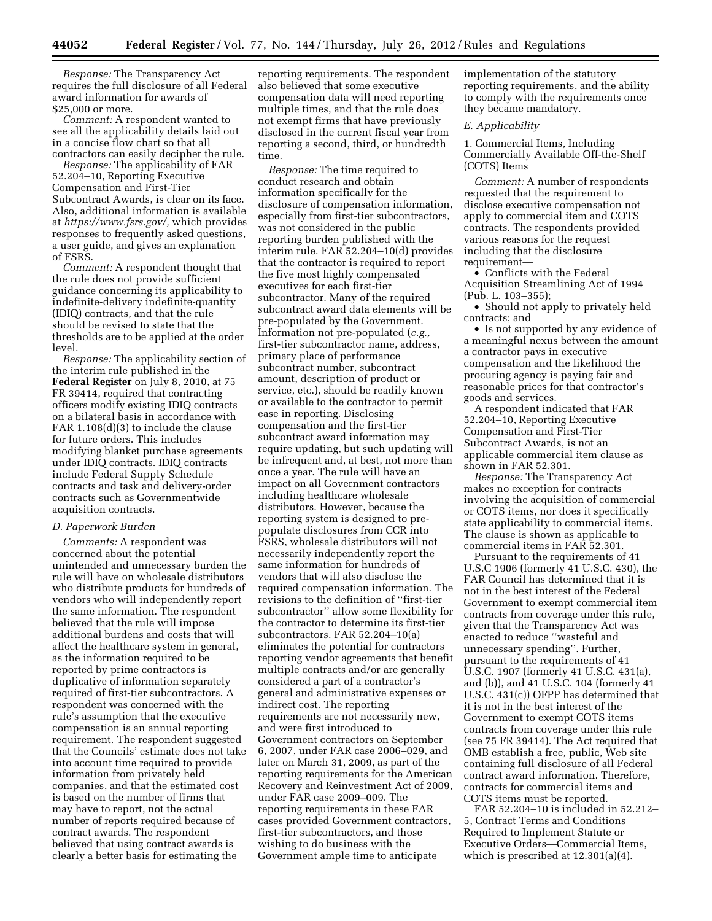*Response:* The Transparency Act requires the full disclosure of all Federal award information for awards of \$25,000 or more.

*Comment:* A respondent wanted to see all the applicability details laid out in a concise flow chart so that all contractors can easily decipher the rule.

*Response:* The applicability of FAR 52.204–10, Reporting Executive Compensation and First-Tier Subcontract Awards, is clear on its face. Also, additional information is available at *[https://www.fsrs.gov/,](https://www.fsrs.gov/)* which provides responses to frequently asked questions, a user guide, and gives an explanation of FSRS.

*Comment:* A respondent thought that the rule does not provide sufficient guidance concerning its applicability to indefinite-delivery indefinite-quantity (IDIQ) contracts, and that the rule should be revised to state that the thresholds are to be applied at the order level.

*Response:* The applicability section of the interim rule published in the **Federal Register** on July 8, 2010, at 75 FR 39414, required that contracting officers modify existing IDIQ contracts on a bilateral basis in accordance with FAR 1.108(d)(3) to include the clause for future orders. This includes modifying blanket purchase agreements under IDIQ contracts. IDIQ contracts include Federal Supply Schedule contracts and task and delivery-order contracts such as Governmentwide acquisition contracts.

#### *D. Paperwork Burden*

*Comments:* A respondent was concerned about the potential unintended and unnecessary burden the rule will have on wholesale distributors who distribute products for hundreds of vendors who will independently report the same information. The respondent believed that the rule will impose additional burdens and costs that will affect the healthcare system in general, as the information required to be reported by prime contractors is duplicative of information separately required of first-tier subcontractors. A respondent was concerned with the rule's assumption that the executive compensation is an annual reporting requirement. The respondent suggested that the Councils' estimate does not take into account time required to provide information from privately held companies, and that the estimated cost is based on the number of firms that may have to report, not the actual number of reports required because of contract awards. The respondent believed that using contract awards is clearly a better basis for estimating the

reporting requirements. The respondent also believed that some executive compensation data will need reporting multiple times, and that the rule does not exempt firms that have previously disclosed in the current fiscal year from reporting a second, third, or hundredth time.

*Response:* The time required to conduct research and obtain information specifically for the disclosure of compensation information, especially from first-tier subcontractors, was not considered in the public reporting burden published with the interim rule. FAR 52.204–10(d) provides that the contractor is required to report the five most highly compensated executives for each first-tier subcontractor. Many of the required subcontract award data elements will be pre-populated by the Government. Information not pre-populated (*e.g.,*  first-tier subcontractor name, address, primary place of performance subcontract number, subcontract amount, description of product or service, etc.), should be readily known or available to the contractor to permit ease in reporting. Disclosing compensation and the first-tier subcontract award information may require updating, but such updating will be infrequent and, at best, not more than once a year. The rule will have an impact on all Government contractors including healthcare wholesale distributors. However, because the reporting system is designed to prepopulate disclosures from CCR into FSRS, wholesale distributors will not necessarily independently report the same information for hundreds of vendors that will also disclose the required compensation information. The revisions to the definition of ''first-tier subcontractor'' allow some flexibility for the contractor to determine its first-tier subcontractors. FAR 52.204–10(a) eliminates the potential for contractors reporting vendor agreements that benefit multiple contracts and/or are generally considered a part of a contractor's general and administrative expenses or indirect cost. The reporting requirements are not necessarily new, and were first introduced to Government contractors on September 6, 2007, under FAR case 2006–029, and later on March 31, 2009, as part of the reporting requirements for the American Recovery and Reinvestment Act of 2009, under FAR case 2009–009. The reporting requirements in these FAR cases provided Government contractors, first-tier subcontractors, and those wishing to do business with the Government ample time to anticipate

implementation of the statutory reporting requirements, and the ability to comply with the requirements once they became mandatory.

#### *E. Applicability*

1. Commercial Items, Including Commercially Available Off-the-Shelf (COTS) Items

*Comment:* A number of respondents requested that the requirement to disclose executive compensation not apply to commercial item and COTS contracts. The respondents provided various reasons for the request including that the disclosure requirement—

• Conflicts with the Federal Acquisition Streamlining Act of 1994 (Pub. L. 103–355);

• Should not apply to privately held contracts; and

• Is not supported by any evidence of a meaningful nexus between the amount a contractor pays in executive compensation and the likelihood the procuring agency is paying fair and reasonable prices for that contractor's goods and services.

A respondent indicated that FAR 52.204–10, Reporting Executive Compensation and First-Tier Subcontract Awards, is not an applicable commercial item clause as shown in FAR 52.301.

*Response:* The Transparency Act makes no exception for contracts involving the acquisition of commercial or COTS items, nor does it specifically state applicability to commercial items. The clause is shown as applicable to commercial items in FAR 52.301.

Pursuant to the requirements of 41 U.S.C 1906 (formerly 41 U.S.C. 430), the FAR Council has determined that it is not in the best interest of the Federal Government to exempt commercial item contracts from coverage under this rule, given that the Transparency Act was enacted to reduce ''wasteful and unnecessary spending''. Further, pursuant to the requirements of 41 U.S.C. 1907 (formerly 41 U.S.C. 431(a), and (b)), and 41 U.S.C. 104 (formerly 41 U.S.C. 431(c)) OFPP has determined that it is not in the best interest of the Government to exempt COTS items contracts from coverage under this rule (see 75 FR 39414). The Act required that OMB establish a free, public, Web site containing full disclosure of all Federal contract award information. Therefore, contracts for commercial items and COTS items must be reported.

FAR 52.204–10 is included in 52.212– 5, Contract Terms and Conditions Required to Implement Statute or Executive Orders—Commercial Items, which is prescribed at 12.301(a)(4).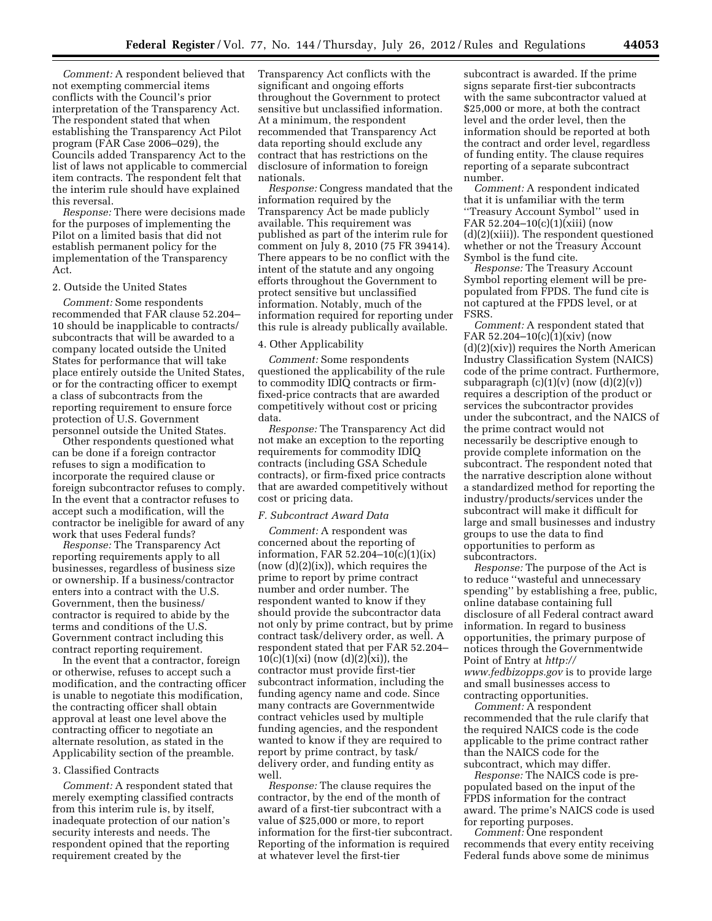*Comment:* A respondent believed that not exempting commercial items conflicts with the Council's prior interpretation of the Transparency Act. The respondent stated that when establishing the Transparency Act Pilot program (FAR Case 2006–029), the Councils added Transparency Act to the list of laws not applicable to commercial item contracts. The respondent felt that the interim rule should have explained this reversal.

*Response:* There were decisions made for the purposes of implementing the Pilot on a limited basis that did not establish permanent policy for the implementation of the Transparency Act.

#### 2. Outside the United States

*Comment:* Some respondents recommended that FAR clause 52.204– 10 should be inapplicable to contracts/ subcontracts that will be awarded to a company located outside the United States for performance that will take place entirely outside the United States, or for the contracting officer to exempt a class of subcontracts from the reporting requirement to ensure force protection of U.S. Government personnel outside the United States.

Other respondents questioned what can be done if a foreign contractor refuses to sign a modification to incorporate the required clause or foreign subcontractor refuses to comply. In the event that a contractor refuses to accept such a modification, will the contractor be ineligible for award of any work that uses Federal funds?

*Response:* The Transparency Act reporting requirements apply to all businesses, regardless of business size or ownership. If a business/contractor enters into a contract with the U.S. Government, then the business/ contractor is required to abide by the terms and conditions of the U.S. Government contract including this contract reporting requirement.

In the event that a contractor, foreign or otherwise, refuses to accept such a modification, and the contracting officer is unable to negotiate this modification, the contracting officer shall obtain approval at least one level above the contracting officer to negotiate an alternate resolution, as stated in the Applicability section of the preamble.

#### 3. Classified Contracts

*Comment:* A respondent stated that merely exempting classified contracts from this interim rule is, by itself, inadequate protection of our nation's security interests and needs. The respondent opined that the reporting requirement created by the

Transparency Act conflicts with the significant and ongoing efforts throughout the Government to protect sensitive but unclassified information. At a minimum, the respondent recommended that Transparency Act data reporting should exclude any contract that has restrictions on the disclosure of information to foreign nationals.

*Response:* Congress mandated that the information required by the Transparency Act be made publicly available. This requirement was published as part of the interim rule for comment on July 8, 2010 (75 FR 39414). There appears to be no conflict with the intent of the statute and any ongoing efforts throughout the Government to protect sensitive but unclassified information. Notably, much of the information required for reporting under this rule is already publically available.

## 4. Other Applicability

*Comment:* Some respondents questioned the applicability of the rule to commodity IDIQ contracts or firmfixed-price contracts that are awarded competitively without cost or pricing data.

*Response:* The Transparency Act did not make an exception to the reporting requirements for commodity IDIQ contracts (including GSA Schedule contracts), or firm-fixed price contracts that are awarded competitively without cost or pricing data.

### *F. Subcontract Award Data*

*Comment:* A respondent was concerned about the reporting of information, FAR 52.204–10(c)(1)(ix)  $(now(d)(2)(ix))$ , which requires the prime to report by prime contract number and order number. The respondent wanted to know if they should provide the subcontractor data not only by prime contract, but by prime contract task/delivery order, as well. A respondent stated that per FAR 52.204–  $10(c)(1)(xi)$  (now  $(d)(2)(xi)$ ), the contractor must provide first-tier subcontract information, including the funding agency name and code. Since many contracts are Governmentwide contract vehicles used by multiple funding agencies, and the respondent wanted to know if they are required to report by prime contract, by task/ delivery order, and funding entity as well.

*Response:* The clause requires the contractor, by the end of the month of award of a first-tier subcontract with a value of \$25,000 or more, to report information for the first-tier subcontract. Reporting of the information is required at whatever level the first-tier

subcontract is awarded. If the prime signs separate first-tier subcontracts with the same subcontractor valued at \$25,000 or more, at both the contract level and the order level, then the information should be reported at both the contract and order level, regardless of funding entity. The clause requires reporting of a separate subcontract number.

*Comment:* A respondent indicated that it is unfamiliar with the term ''Treasury Account Symbol'' used in FAR 52.204–10(c)(1)(xiii) (now (d)(2)(xiii)). The respondent questioned whether or not the Treasury Account Symbol is the fund cite.

*Response:* The Treasury Account Symbol reporting element will be prepopulated from FPDS. The fund cite is not captured at the FPDS level, or at FSRS.

*Comment:* A respondent stated that FAR 52.204–10(c)(1)(xiv) (now (d)(2)(xiv)) requires the North American Industry Classification System (NAICS) code of the prime contract. Furthermore, subparagraph  $(c)(1)(v)$  (now  $(d)(2)(v)$ ) requires a description of the product or services the subcontractor provides under the subcontract, and the NAICS of the prime contract would not necessarily be descriptive enough to provide complete information on the subcontract. The respondent noted that the narrative description alone without a standardized method for reporting the industry/products/services under the subcontract will make it difficult for large and small businesses and industry groups to use the data to find opportunities to perform as subcontractors.

*Response:* The purpose of the Act is to reduce ''wasteful and unnecessary spending'' by establishing a free, public, online database containing full disclosure of all Federal contract award information. In regard to business opportunities, the primary purpose of notices through the Governmentwide Point of Entry at *[http://](http://www.fedbizopps.gov) [www.fedbizopps.gov](http://www.fedbizopps.gov)* is to provide large and small businesses access to contracting opportunities.

*Comment:* A respondent recommended that the rule clarify that the required NAICS code is the code applicable to the prime contract rather than the NAICS code for the subcontract, which may differ.

*Response:* The NAICS code is prepopulated based on the input of the FPDS information for the contract award. The prime's NAICS code is used for reporting purposes.

*Comment:* One respondent recommends that every entity receiving Federal funds above some de minimus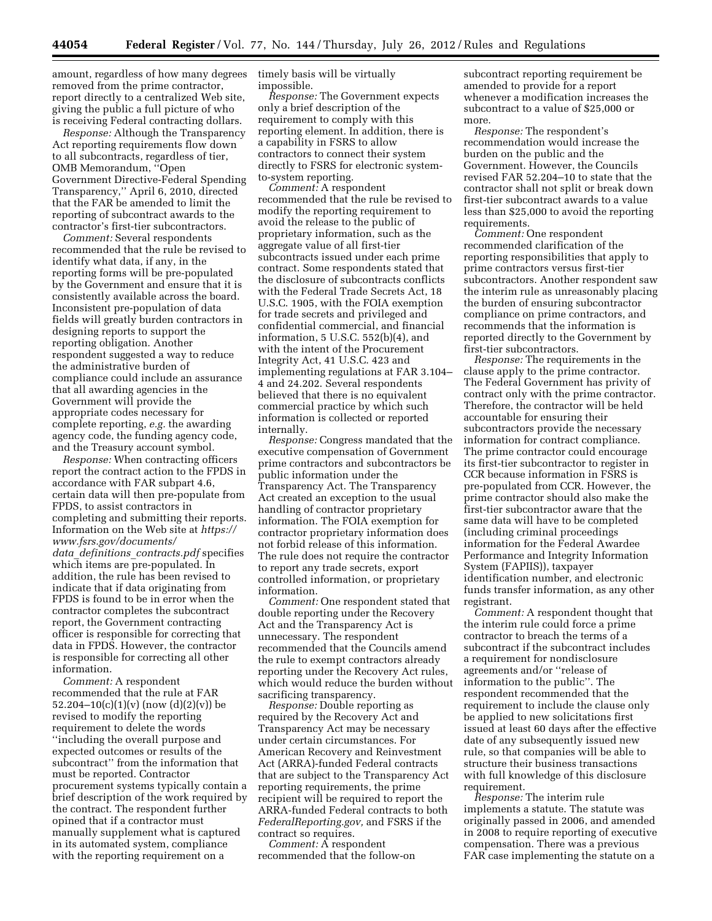amount, regardless of how many degrees removed from the prime contractor, report directly to a centralized Web site, giving the public a full picture of who is receiving Federal contracting dollars.

*Response:* Although the Transparency Act reporting requirements flow down to all subcontracts, regardless of tier, OMB Memorandum, ''Open Government Directive-Federal Spending Transparency,'' April 6, 2010, directed that the FAR be amended to limit the reporting of subcontract awards to the contractor's first-tier subcontractors.

*Comment:* Several respondents recommended that the rule be revised to identify what data, if any, in the reporting forms will be pre-populated by the Government and ensure that it is consistently available across the board. Inconsistent pre-population of data fields will greatly burden contractors in designing reports to support the reporting obligation. Another respondent suggested a way to reduce the administrative burden of compliance could include an assurance that all awarding agencies in the Government will provide the appropriate codes necessary for complete reporting, *e.g.* the awarding agency code, the funding agency code, and the Treasury account symbol.

*Response:* When contracting officers report the contract action to the FPDS in accordance with FAR subpart 4.6, certain data will then pre-populate from FPDS, to assist contractors in completing and submitting their reports. Information on the Web site at *[https://](https://www.fsrs.gov/documents/data_definitions_contracts.pdf) [www.fsrs.gov/documents/](https://www.fsrs.gov/documents/data_definitions_contracts.pdf)  data*\_*definitions*\_*[contracts.pdf](https://www.fsrs.gov/documents/data_definitions_contracts.pdf)* specifies which items are pre-populated. In addition, the rule has been revised to indicate that if data originating from FPDS is found to be in error when the contractor completes the subcontract report, the Government contracting officer is responsible for correcting that data in FPDS. However, the contractor is responsible for correcting all other information.

*Comment:* A respondent recommended that the rule at FAR 52.204–10(c)(1)(v) (now (d)(2)(v)) be revised to modify the reporting requirement to delete the words ''including the overall purpose and expected outcomes or results of the subcontract'' from the information that must be reported. Contractor procurement systems typically contain a brief description of the work required by the contract. The respondent further opined that if a contractor must manually supplement what is captured in its automated system, compliance with the reporting requirement on a

timely basis will be virtually impossible.

*Response:* The Government expects only a brief description of the requirement to comply with this reporting element. In addition, there is a capability in FSRS to allow contractors to connect their system directly to FSRS for electronic systemto-system reporting.

*Comment:* A respondent recommended that the rule be revised to modify the reporting requirement to avoid the release to the public of proprietary information, such as the aggregate value of all first-tier subcontracts issued under each prime contract. Some respondents stated that the disclosure of subcontracts conflicts with the Federal Trade Secrets Act, 18 U.S.C. 1905, with the FOIA exemption for trade secrets and privileged and confidential commercial, and financial information, 5 U.S.C. 552(b)(4), and with the intent of the Procurement Integrity Act, 41 U.S.C. 423 and implementing regulations at FAR 3.104– 4 and 24.202. Several respondents believed that there is no equivalent commercial practice by which such information is collected or reported internally.

*Response:* Congress mandated that the executive compensation of Government prime contractors and subcontractors be public information under the Transparency Act. The Transparency Act created an exception to the usual handling of contractor proprietary information. The FOIA exemption for contractor proprietary information does not forbid release of this information. The rule does not require the contractor to report any trade secrets, export controlled information, or proprietary information.

*Comment:* One respondent stated that double reporting under the Recovery Act and the Transparency Act is unnecessary. The respondent recommended that the Councils amend the rule to exempt contractors already reporting under the Recovery Act rules, which would reduce the burden without sacrificing transparency.

*Response:* Double reporting as required by the Recovery Act and Transparency Act may be necessary under certain circumstances. For American Recovery and Reinvestment Act (ARRA)-funded Federal contracts that are subject to the Transparency Act reporting requirements, the prime recipient will be required to report the ARRA-funded Federal contracts to both *FederalReporting.gov,* and FSRS if the contract so requires.

*Comment:* A respondent recommended that the follow-on

subcontract reporting requirement be amended to provide for a report whenever a modification increases the subcontract to a value of \$25,000 or more.

*Response:* The respondent's recommendation would increase the burden on the public and the Government. However, the Councils revised FAR 52.204–10 to state that the contractor shall not split or break down first-tier subcontract awards to a value less than \$25,000 to avoid the reporting requirements.

*Comment:* One respondent recommended clarification of the reporting responsibilities that apply to prime contractors versus first-tier subcontractors. Another respondent saw the interim rule as unreasonably placing the burden of ensuring subcontractor compliance on prime contractors, and recommends that the information is reported directly to the Government by first-tier subcontractors.

*Response:* The requirements in the clause apply to the prime contractor. The Federal Government has privity of contract only with the prime contractor. Therefore, the contractor will be held accountable for ensuring their subcontractors provide the necessary information for contract compliance. The prime contractor could encourage its first-tier subcontractor to register in CCR because information in FSRS is pre-populated from CCR. However, the prime contractor should also make the first-tier subcontractor aware that the same data will have to be completed (including criminal proceedings information for the Federal Awardee Performance and Integrity Information System (FAPIIS)), taxpayer identification number, and electronic funds transfer information, as any other registrant.

*Comment:* A respondent thought that the interim rule could force a prime contractor to breach the terms of a subcontract if the subcontract includes a requirement for nondisclosure agreements and/or ''release of information to the public''. The respondent recommended that the requirement to include the clause only be applied to new solicitations first issued at least 60 days after the effective date of any subsequently issued new rule, so that companies will be able to structure their business transactions with full knowledge of this disclosure requirement.

*Response:* The interim rule implements a statute. The statute was originally passed in 2006, and amended in 2008 to require reporting of executive compensation. There was a previous FAR case implementing the statute on a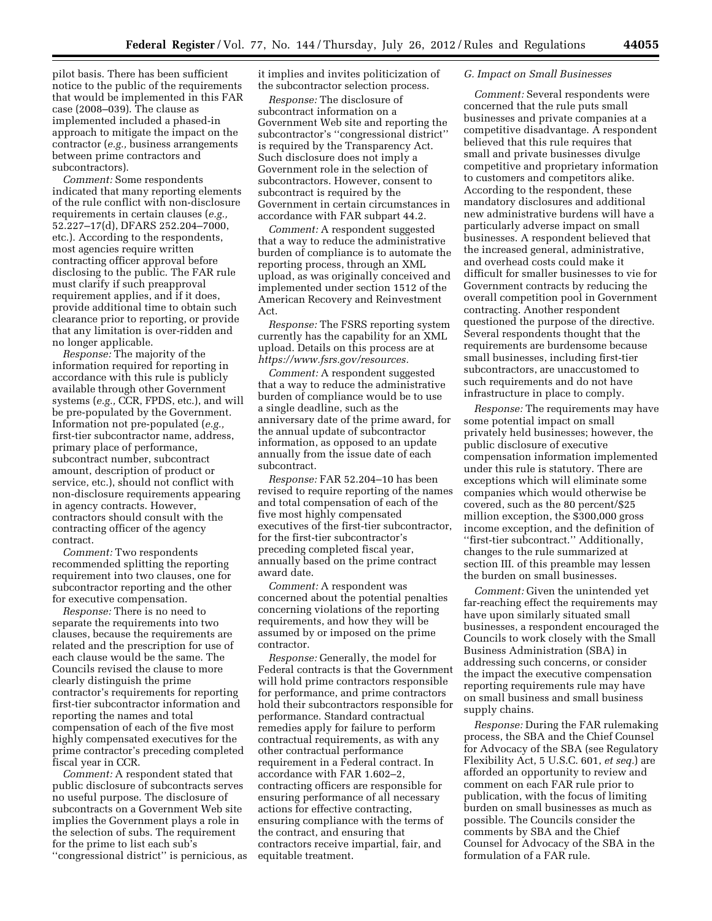pilot basis. There has been sufficient notice to the public of the requirements that would be implemented in this FAR case (2008–039). The clause as implemented included a phased-in approach to mitigate the impact on the contractor (*e.g.,* business arrangements between prime contractors and subcontractors).

*Comment:* Some respondents indicated that many reporting elements of the rule conflict with non-disclosure requirements in certain clauses (*e.g.,*  52.227–17(d), DFARS 252.204–7000, etc.). According to the respondents, most agencies require written contracting officer approval before disclosing to the public. The FAR rule must clarify if such preapproval requirement applies, and if it does, provide additional time to obtain such clearance prior to reporting, or provide that any limitation is over-ridden and no longer applicable.

*Response:* The majority of the information required for reporting in accordance with this rule is publicly available through other Government systems (*e.g.,* CCR, FPDS, etc.), and will be pre-populated by the Government. Information not pre-populated (*e.g.,*  first-tier subcontractor name, address, primary place of performance, subcontract number, subcontract amount, description of product or service, etc.), should not conflict with non-disclosure requirements appearing in agency contracts. However, contractors should consult with the contracting officer of the agency contract.

*Comment:* Two respondents recommended splitting the reporting requirement into two clauses, one for subcontractor reporting and the other for executive compensation.

*Response:* There is no need to separate the requirements into two clauses, because the requirements are related and the prescription for use of each clause would be the same. The Councils revised the clause to more clearly distinguish the prime contractor's requirements for reporting first-tier subcontractor information and reporting the names and total compensation of each of the five most highly compensated executives for the prime contractor's preceding completed fiscal year in CCR.

*Comment:* A respondent stated that public disclosure of subcontracts serves no useful purpose. The disclosure of subcontracts on a Government Web site implies the Government plays a role in the selection of subs. The requirement for the prime to list each sub's ''congressional district'' is pernicious, as it implies and invites politicization of the subcontractor selection process.

*Response:* The disclosure of subcontract information on a Government Web site and reporting the subcontractor's ''congressional district'' is required by the Transparency Act. Such disclosure does not imply a Government role in the selection of subcontractors. However, consent to subcontract is required by the Government in certain circumstances in accordance with FAR subpart 44.2.

*Comment:* A respondent suggested that a way to reduce the administrative burden of compliance is to automate the reporting process, through an XML upload, as was originally conceived and implemented under section 1512 of the American Recovery and Reinvestment Act.

*Response:* The FSRS reporting system currently has the capability for an XML upload. Details on this process are at *[https://www.fsrs.gov/resources.](https://www.fsrs.gov/resources)* 

*Comment:* A respondent suggested that a way to reduce the administrative burden of compliance would be to use a single deadline, such as the anniversary date of the prime award, for the annual update of subcontractor information, as opposed to an update annually from the issue date of each subcontract.

*Response:* FAR 52.204–10 has been revised to require reporting of the names and total compensation of each of the five most highly compensated executives of the first-tier subcontractor, for the first-tier subcontractor's preceding completed fiscal year, annually based on the prime contract award date.

*Comment:* A respondent was concerned about the potential penalties concerning violations of the reporting requirements, and how they will be assumed by or imposed on the prime contractor.

*Response:* Generally, the model for Federal contracts is that the Government will hold prime contractors responsible for performance, and prime contractors hold their subcontractors responsible for performance. Standard contractual remedies apply for failure to perform contractual requirements, as with any other contractual performance requirement in a Federal contract. In accordance with FAR 1.602–2, contracting officers are responsible for ensuring performance of all necessary actions for effective contracting, ensuring compliance with the terms of the contract, and ensuring that contractors receive impartial, fair, and equitable treatment.

#### *G. Impact on Small Businesses*

*Comment:* Several respondents were concerned that the rule puts small businesses and private companies at a competitive disadvantage. A respondent believed that this rule requires that small and private businesses divulge competitive and proprietary information to customers and competitors alike. According to the respondent, these mandatory disclosures and additional new administrative burdens will have a particularly adverse impact on small businesses. A respondent believed that the increased general, administrative, and overhead costs could make it difficult for smaller businesses to vie for Government contracts by reducing the overall competition pool in Government contracting. Another respondent questioned the purpose of the directive. Several respondents thought that the requirements are burdensome because small businesses, including first-tier subcontractors, are unaccustomed to such requirements and do not have infrastructure in place to comply.

*Response:* The requirements may have some potential impact on small privately held businesses; however, the public disclosure of executive compensation information implemented under this rule is statutory. There are exceptions which will eliminate some companies which would otherwise be covered, such as the 80 percent/\$25 million exception, the \$300,000 gross income exception, and the definition of "first-tier subcontract." Additionally, changes to the rule summarized at section III. of this preamble may lessen the burden on small businesses.

*Comment:* Given the unintended yet far-reaching effect the requirements may have upon similarly situated small businesses, a respondent encouraged the Councils to work closely with the Small Business Administration (SBA) in addressing such concerns, or consider the impact the executive compensation reporting requirements rule may have on small business and small business supply chains.

*Response:* During the FAR rulemaking process, the SBA and the Chief Counsel for Advocacy of the SBA (see Regulatory Flexibility Act, 5 U.S.C. 601, *et seq.*) are afforded an opportunity to review and comment on each FAR rule prior to publication, with the focus of limiting burden on small businesses as much as possible. The Councils consider the comments by SBA and the Chief Counsel for Advocacy of the SBA in the formulation of a FAR rule.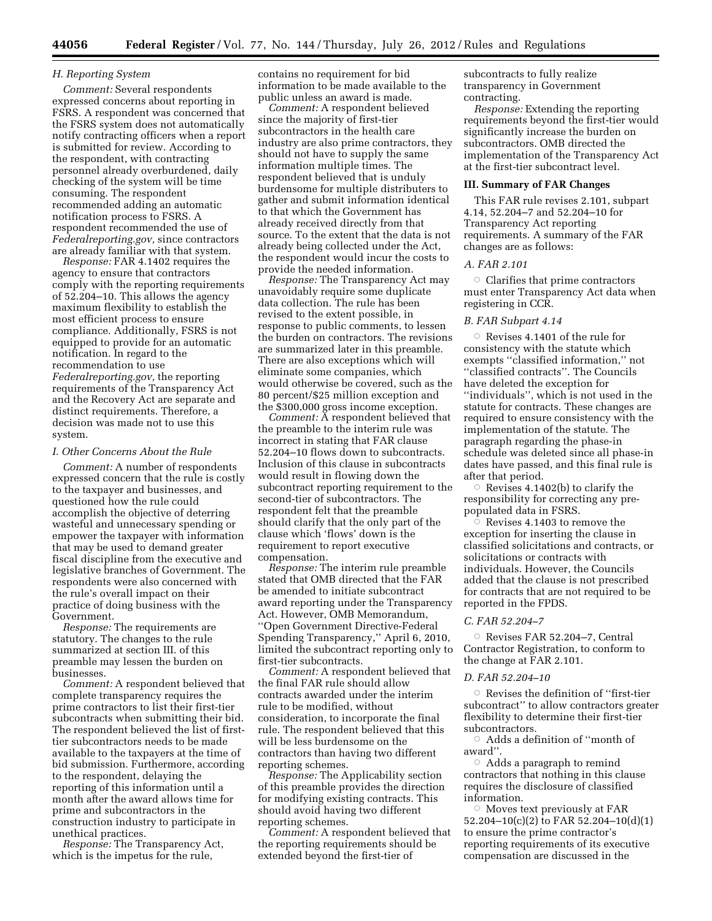### *H. Reporting System*

*Comment:* Several respondents expressed concerns about reporting in FSRS. A respondent was concerned that the FSRS system does not automatically notify contracting officers when a report is submitted for review. According to the respondent, with contracting personnel already overburdened, daily checking of the system will be time consuming. The respondent recommended adding an automatic notification process to FSRS. A respondent recommended the use of *Federalreporting.gov,* since contractors are already familiar with that system.

*Response:* FAR 4.1402 requires the agency to ensure that contractors comply with the reporting requirements of 52.204–10. This allows the agency maximum flexibility to establish the most efficient process to ensure compliance. Additionally, FSRS is not equipped to provide for an automatic notification. In regard to the recommendation to use *Federalreporting.gov,* the reporting requirements of the Transparency Act and the Recovery Act are separate and distinct requirements. Therefore, a decision was made not to use this system.

#### *I. Other Concerns About the Rule*

*Comment:* A number of respondents expressed concern that the rule is costly to the taxpayer and businesses, and questioned how the rule could accomplish the objective of deterring wasteful and unnecessary spending or empower the taxpayer with information that may be used to demand greater fiscal discipline from the executive and legislative branches of Government. The respondents were also concerned with the rule's overall impact on their practice of doing business with the Government.

*Response:* The requirements are statutory. The changes to the rule summarized at section III. of this preamble may lessen the burden on businesses.

*Comment:* A respondent believed that complete transparency requires the prime contractors to list their first-tier subcontracts when submitting their bid. The respondent believed the list of firsttier subcontractors needs to be made available to the taxpayers at the time of bid submission. Furthermore, according to the respondent, delaying the reporting of this information until a month after the award allows time for prime and subcontractors in the construction industry to participate in unethical practices.

*Response:* The Transparency Act, which is the impetus for the rule,

contains no requirement for bid information to be made available to the public unless an award is made.

*Comment:* A respondent believed since the majority of first-tier subcontractors in the health care industry are also prime contractors, they should not have to supply the same information multiple times. The respondent believed that is unduly burdensome for multiple distributers to gather and submit information identical to that which the Government has already received directly from that source. To the extent that the data is not already being collected under the Act, the respondent would incur the costs to provide the needed information.

*Response:* The Transparency Act may unavoidably require some duplicate data collection. The rule has been revised to the extent possible, in response to public comments, to lessen the burden on contractors. The revisions are summarized later in this preamble. There are also exceptions which will eliminate some companies, which would otherwise be covered, such as the 80 percent/\$25 million exception and the \$300,000 gross income exception.

*Comment:* A respondent believed that the preamble to the interim rule was incorrect in stating that FAR clause 52.204–10 flows down to subcontracts. Inclusion of this clause in subcontracts would result in flowing down the subcontract reporting requirement to the second-tier of subcontractors. The respondent felt that the preamble should clarify that the only part of the clause which 'flows' down is the requirement to report executive compensation.

*Response:* The interim rule preamble stated that OMB directed that the FAR be amended to initiate subcontract award reporting under the Transparency Act. However, OMB Memorandum, ''Open Government Directive-Federal Spending Transparency,'' April 6, 2010, limited the subcontract reporting only to first-tier subcontracts.

*Comment:* A respondent believed that the final FAR rule should allow contracts awarded under the interim rule to be modified, without consideration, to incorporate the final rule. The respondent believed that this will be less burdensome on the contractors than having two different reporting schemes.

*Response:* The Applicability section of this preamble provides the direction for modifying existing contracts. This should avoid having two different reporting schemes.

*Comment:* A respondent believed that the reporting requirements should be extended beyond the first-tier of

subcontracts to fully realize transparency in Government contracting.

*Response:* Extending the reporting requirements beyond the first-tier would significantly increase the burden on subcontractors. OMB directed the implementation of the Transparency Act at the first-tier subcontract level.

### **III. Summary of FAR Changes**

This FAR rule revises 2.101, subpart 4.14, 52.204–7 and 52.204–10 for Transparency Act reporting requirements. A summary of the FAR changes are as follows:

#### *A. FAR 2.101*

 $\circ$  Clarifies that prime contractors must enter Transparency Act data when registering in CCR.

### *B. FAR Subpart 4.14*

 $\circ$  Revises 4.1401 of the rule for consistency with the statute which exempts ''classified information,'' not ''classified contracts''. The Councils have deleted the exception for ''individuals'', which is not used in the statute for contracts. These changes are required to ensure consistency with the implementation of the statute. The paragraph regarding the phase-in schedule was deleted since all phase-in dates have passed, and this final rule is after that period.

Revises 4.1402(b) to clarify the responsibility for correcting any prepopulated data in FSRS.

 $\overline{\circ}$  Revises 4.1403 to remove the exception for inserting the clause in classified solicitations and contracts, or solicitations or contracts with individuals. However, the Councils added that the clause is not prescribed for contracts that are not required to be reported in the FPDS.

#### *C. FAR 52.204–7*

 $\circ$  Revises FAR 52.204-7, Central Contractor Registration, to conform to the change at FAR 2.101.

#### *D. FAR 52.204–10*

 $\circ$  Revises the definition of "first-tier subcontract'' to allow contractors greater flexibility to determine their first-tier subcontractors.

 $\circ$  Adds a definition of "month of award''.

 $\circ$  Adds a paragraph to remind contractors that nothing in this clause requires the disclosure of classified information.

 $\circ$  Moves text previously at FAR 52.204–10(c)(2) to FAR 52.204–10(d)(1) to ensure the prime contractor's reporting requirements of its executive compensation are discussed in the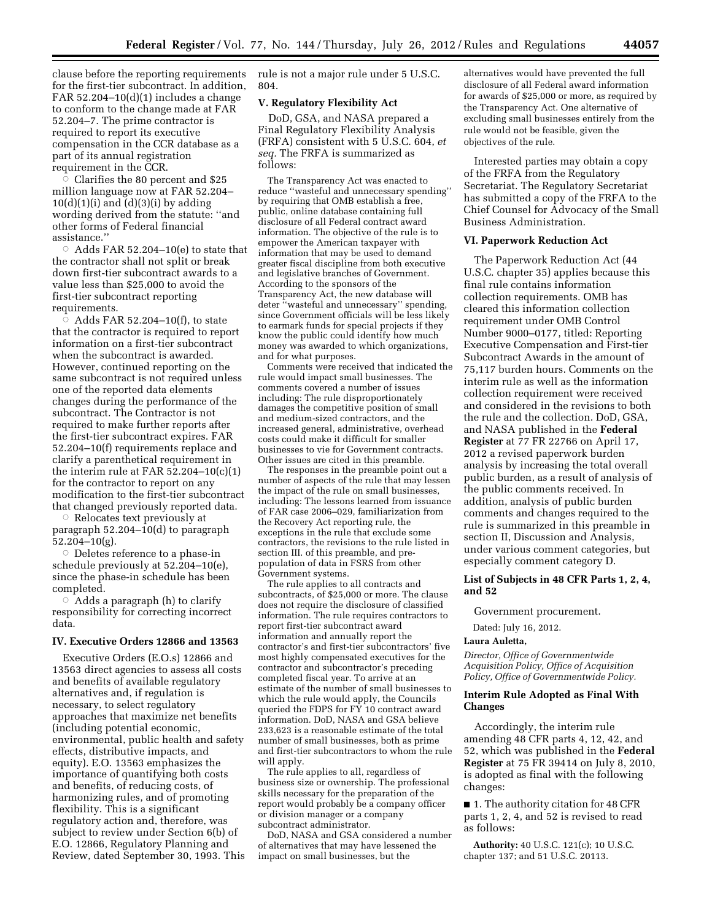clause before the reporting requirements for the first-tier subcontract. In addition, FAR  $52.204-10(d)(1)$  includes a change to conform to the change made at FAR 52.204–7. The prime contractor is required to report its executive compensation in the CCR database as a part of its annual registration requirement in the CCR.

 $\overline{\circ}$  Clarifies the 80 percent and \$25 million language now at FAR 52.204–  $10(d)(1)(i)$  and  $(d)(3)(i)$  by adding wording derived from the statute: ''and other forms of Federal financial assistance.''

 $\circ$  Adds FAR 52.204–10(e) to state that the contractor shall not split or break down first-tier subcontract awards to a value less than \$25,000 to avoid the first-tier subcontract reporting requirements.

 $\overline{\circ}$  Adds FAR 52.204–10(f), to state that the contractor is required to report information on a first-tier subcontract when the subcontract is awarded. However, continued reporting on the same subcontract is not required unless one of the reported data elements changes during the performance of the subcontract. The Contractor is not required to make further reports after the first-tier subcontract expires. FAR 52.204–10(f) requirements replace and clarify a parenthetical requirement in the interim rule at FAR 52.204–10(c)(1) for the contractor to report on any modification to the first-tier subcontract that changed previously reported data.

Æ Relocates text previously at paragraph 52.204–10(d) to paragraph 52.204–10(g).

 $\circ$  Deletes reference to a phase-in schedule previously at 52.204–10(e), since the phase-in schedule has been completed.

 $\circ$  Adds a paragraph (h) to clarify responsibility for correcting incorrect data.

### **IV. Executive Orders 12866 and 13563**

Executive Orders (E.O.s) 12866 and 13563 direct agencies to assess all costs and benefits of available regulatory alternatives and, if regulation is necessary, to select regulatory approaches that maximize net benefits (including potential economic, environmental, public health and safety effects, distributive impacts, and equity). E.O. 13563 emphasizes the importance of quantifying both costs and benefits, of reducing costs, of harmonizing rules, and of promoting flexibility. This is a significant regulatory action and, therefore, was subject to review under Section 6(b) of E.O. 12866, Regulatory Planning and Review, dated September 30, 1993. This rule is not a major rule under 5 U.S.C. 804.

## **V. Regulatory Flexibility Act**

DoD, GSA, and NASA prepared a Final Regulatory Flexibility Analysis (FRFA) consistent with 5 U.S.C. 604, *et seq.* The FRFA is summarized as follows:

The Transparency Act was enacted to reduce ''wasteful and unnecessary spending'' by requiring that OMB establish a free, public, online database containing full disclosure of all Federal contract award information. The objective of the rule is to empower the American taxpayer with information that may be used to demand greater fiscal discipline from both executive and legislative branches of Government. According to the sponsors of the Transparency Act, the new database will deter ''wasteful and unnecessary'' spending, since Government officials will be less likely to earmark funds for special projects if they know the public could identify how much money was awarded to which organizations, and for what purposes.

Comments were received that indicated the rule would impact small businesses. The comments covered a number of issues including: The rule disproportionately damages the competitive position of small and medium-sized contractors, and the increased general, administrative, overhead costs could make it difficult for smaller businesses to vie for Government contracts. Other issues are cited in this preamble.

The responses in the preamble point out a number of aspects of the rule that may lessen the impact of the rule on small businesses, including: The lessons learned from issuance of FAR case 2006–029, familiarization from the Recovery Act reporting rule, the exceptions in the rule that exclude some contractors, the revisions to the rule listed in section III. of this preamble, and prepopulation of data in FSRS from other Government systems.

The rule applies to all contracts and subcontracts, of \$25,000 or more. The clause does not require the disclosure of classified information. The rule requires contractors to report first-tier subcontract award information and annually report the contractor's and first-tier subcontractors' five most highly compensated executives for the contractor and subcontractor's preceding completed fiscal year. To arrive at an estimate of the number of small businesses to which the rule would apply, the Councils queried the FDPS for  $\overrightarrow{FY}$  10 contract award information. DoD, NASA and GSA believe 233,623 is a reasonable estimate of the total number of small businesses, both as prime and first-tier subcontractors to whom the rule will apply.

The rule applies to all, regardless of business size or ownership. The professional skills necessary for the preparation of the report would probably be a company officer or division manager or a company subcontract administrator.

DoD, NASA and GSA considered a number of alternatives that may have lessened the impact on small businesses, but the

alternatives would have prevented the full disclosure of all Federal award information for awards of \$25,000 or more, as required by the Transparency Act. One alternative of excluding small businesses entirely from the rule would not be feasible, given the objectives of the rule.

Interested parties may obtain a copy of the FRFA from the Regulatory Secretariat. The Regulatory Secretariat has submitted a copy of the FRFA to the Chief Counsel for Advocacy of the Small Business Administration.

### **VI. Paperwork Reduction Act**

The Paperwork Reduction Act (44 U.S.C. chapter 35) applies because this final rule contains information collection requirements. OMB has cleared this information collection requirement under OMB Control Number 9000–0177, titled: Reporting Executive Compensation and First-tier Subcontract Awards in the amount of 75,117 burden hours. Comments on the interim rule as well as the information collection requirement were received and considered in the revisions to both the rule and the collection. DoD, GSA, and NASA published in the **Federal Register** at 77 FR 22766 on April 17, 2012 a revised paperwork burden analysis by increasing the total overall public burden, as a result of analysis of the public comments received. In addition, analysis of public burden comments and changes required to the rule is summarized in this preamble in section II, Discussion and Analysis, under various comment categories, but especially comment category D.

## **List of Subjects in 48 CFR Parts 1, 2, 4, and 52**

Government procurement.

Dated: July 16, 2012.

#### **Laura Auletta,**

*Director, Office of Governmentwide Acquisition Policy, Office of Acquisition Policy, Office of Governmentwide Policy.* 

## **Interim Rule Adopted as Final With Changes**

Accordingly, the interim rule amending 48 CFR parts 4, 12, 42, and 52, which was published in the **Federal Register** at 75 FR 39414 on July 8, 2010, is adopted as final with the following changes:

■ 1. The authority citation for 48 CFR parts 1, 2, 4, and 52 is revised to read as follows:

**Authority:** 40 U.S.C. 121(c); 10 U.S.C. chapter 137; and 51 U.S.C. 20113.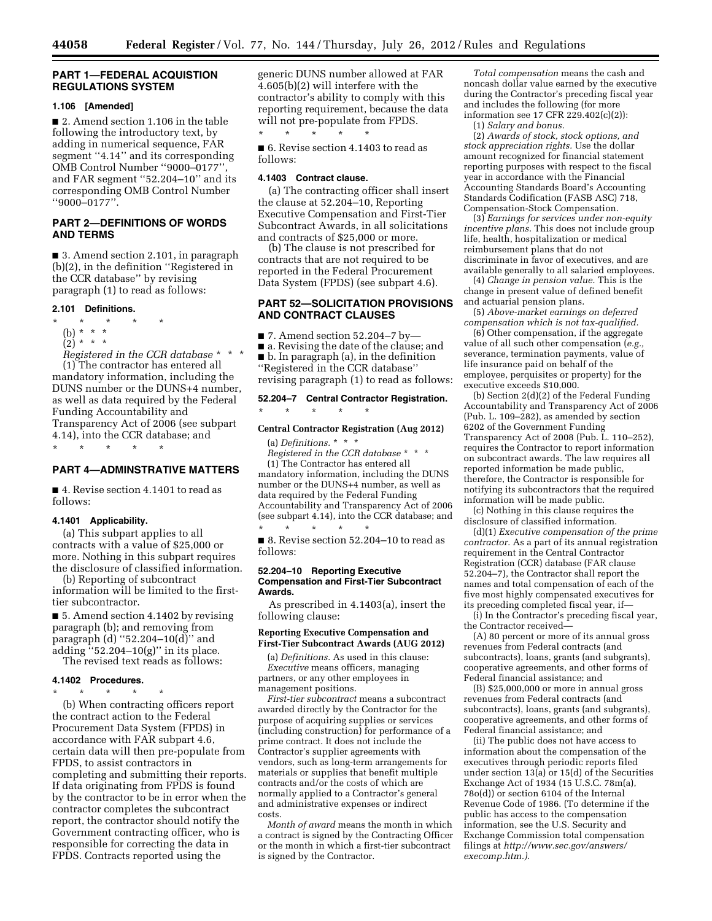### **PART 1—FEDERAL ACQUISTION REGULATIONS SYSTEM**

#### **1.106 [Amended]**

■ 2. Amend section 1.106 in the table following the introductory text, by adding in numerical sequence, FAR segment ''4.14'' and its corresponding OMB Control Number ''9000–0177'', and FAR segment ''52.204–10'' and its corresponding OMB Control Number ''9000–0177''.

## **PART 2—DEFINITIONS OF WORDS AND TERMS**

■ 3. Amend section 2.101, in paragraph (b)(2), in the definition ''Registered in the CCR database'' by revising paragraph (1) to read as follows:

#### **2.101 Definitions.**

\* \* \* \* \*

- (b) \* \* \*
- $(2)^{\ast}$  \* \*

*Registered in the CCR database* \* \* \* (1) The contractor has entered all mandatory information, including the DUNS number or the DUNS+4 number, as well as data required by the Federal Funding Accountability and Transparency Act of 2006 (see subpart 4.14), into the CCR database; and

\* \* \* \* \*

## **PART 4—ADMINSTRATIVE MATTERS**

■ 4. Revise section 4.1401 to read as follows:

#### **4.1401 Applicability.**

(a) This subpart applies to all contracts with a value of \$25,000 or more. Nothing in this subpart requires the disclosure of classified information.

(b) Reporting of subcontract information will be limited to the firsttier subcontractor.

■ 5. Amend section 4.1402 by revising paragraph (b); and removing from paragraph (d) ''52.204–10(d)'' and adding ''52.204–10(g)'' in its place.

The revised text reads as follows:

#### **4.1402 Procedures.**  \* \* \* \* \*

(b) When contracting officers report the contract action to the Federal Procurement Data System (FPDS) in accordance with FAR subpart 4.6, certain data will then pre-populate from FPDS, to assist contractors in completing and submitting their reports. If data originating from FPDS is found by the contractor to be in error when the contractor completes the subcontract report, the contractor should notify the Government contracting officer, who is responsible for correcting the data in FPDS. Contracts reported using the

generic DUNS number allowed at FAR 4.605(b)(2) will interfere with the contractor's ability to comply with this reporting requirement, because the data will not pre-populate from FPDS.<br> $*$  \* \* \* \* \* \* \* \* \* \* \*

■ 6. Revise section 4.1403 to read as follows:

#### **4.1403 Contract clause.**

(a) The contracting officer shall insert the clause at 52.204–10, Reporting Executive Compensation and First-Tier Subcontract Awards, in all solicitations and contracts of \$25,000 or more.

(b) The clause is not prescribed for contracts that are not required to be reported in the Federal Procurement Data System (FPDS) (see subpart 4.6).

## **PART 52—SOLICITATION PROVISIONS AND CONTRACT CLAUSES**

 $\blacksquare$  7. Amend section 52.204-7 by-

■ a. Revising the date of the clause; and

■ b. In paragraph (a), in the definition ''Registered in the CCR database''

revising paragraph (1) to read as follows:

# **52.204–7 Central Contractor Registration.**

### **Central Contractor Registration (Aug 2012)**

(a) *Definitions.* \* \* \* *Registered in the CCR database* \* \* \*

\* \* \* \* \*

(1) The Contractor has entered all mandatory information, including the DUNS number or the DUNS+4 number, as well as data required by the Federal Funding Accountability and Transparency Act of 2006 (see subpart 4.14), into the CCR database; and \* \* \* \* \*

■ 8. Revise section 52.204–10 to read as follows:

#### **52.204–10 Reporting Executive Compensation and First-Tier Subcontract Awards.**

As prescribed in 4.1403(a), insert the following clause:

#### **Reporting Executive Compensation and First-Tier Subcontract Awards (AUG 2012)**

(a) *Definitions.* As used in this clause: *Executive* means officers, managing partners, or any other employees in management positions.

*First-tier subcontract* means a subcontract awarded directly by the Contractor for the purpose of acquiring supplies or services (including construction) for performance of a prime contract. It does not include the Contractor's supplier agreements with vendors, such as long-term arrangements for materials or supplies that benefit multiple contracts and/or the costs of which are normally applied to a Contractor's general and administrative expenses or indirect costs.

*Month of award* means the month in which a contract is signed by the Contracting Officer or the month in which a first-tier subcontract is signed by the Contractor.

*Total compensation* means the cash and noncash dollar value earned by the executive during the Contractor's preceding fiscal year and includes the following (for more information see 17 CFR 229.402(c)(2)):

(1) *Salary and bonus.* 

(2) *Awards of stock, stock options, and stock appreciation rights.* Use the dollar amount recognized for financial statement reporting purposes with respect to the fiscal year in accordance with the Financial Accounting Standards Board's Accounting Standards Codification (FASB ASC) 718, Compensation-Stock Compensation.

(3) *Earnings for services under non-equity incentive plans.* This does not include group life, health, hospitalization or medical reimbursement plans that do not discriminate in favor of executives, and are available generally to all salaried employees.

(4) *Change in pension value.* This is the change in present value of defined benefit and actuarial pension plans.

(5) *Above-market earnings on deferred compensation which is not tax-qualified.* 

(6) Other compensation, if the aggregate value of all such other compensation (*e.g.,*  severance, termination payments, value of life insurance paid on behalf of the employee, perquisites or property) for the executive exceeds \$10,000.

(b) Section 2(d)(2) of the Federal Funding Accountability and Transparency Act of 2006 (Pub. L. 109–282), as amended by section 6202 of the Government Funding Transparency Act of 2008 (Pub. L. 110–252), requires the Contractor to report information on subcontract awards. The law requires all reported information be made public, therefore, the Contractor is responsible for notifying its subcontractors that the required information will be made public.

(c) Nothing in this clause requires the disclosure of classified information.

(d)(1) *Executive compensation of the prime contractor.* As a part of its annual registration requirement in the Central Contractor Registration (CCR) database (FAR clause 52.204–7), the Contractor shall report the names and total compensation of each of the five most highly compensated executives for its preceding completed fiscal year, if—

(i) In the Contractor's preceding fiscal year, the Contractor received—

(A) 80 percent or more of its annual gross revenues from Federal contracts (and subcontracts), loans, grants (and subgrants), cooperative agreements, and other forms of Federal financial assistance; and

(B) \$25,000,000 or more in annual gross revenues from Federal contracts (and subcontracts), loans, grants (and subgrants), cooperative agreements, and other forms of Federal financial assistance; and

(ii) The public does not have access to information about the compensation of the executives through periodic reports filed under section 13(a) or 15(d) of the Securities Exchange Act of 1934 (15 U.S.C. 78m(a), 78o(d)) or section 6104 of the Internal Revenue Code of 1986. (To determine if the public has access to the compensation information, see the U.S. Security and Exchange Commission total compensation filings at *[http://www.sec.gov/answers/](http://www.sec.gov/answers/execomp.htm) [execomp.htm.\).](http://www.sec.gov/answers/execomp.htm)*